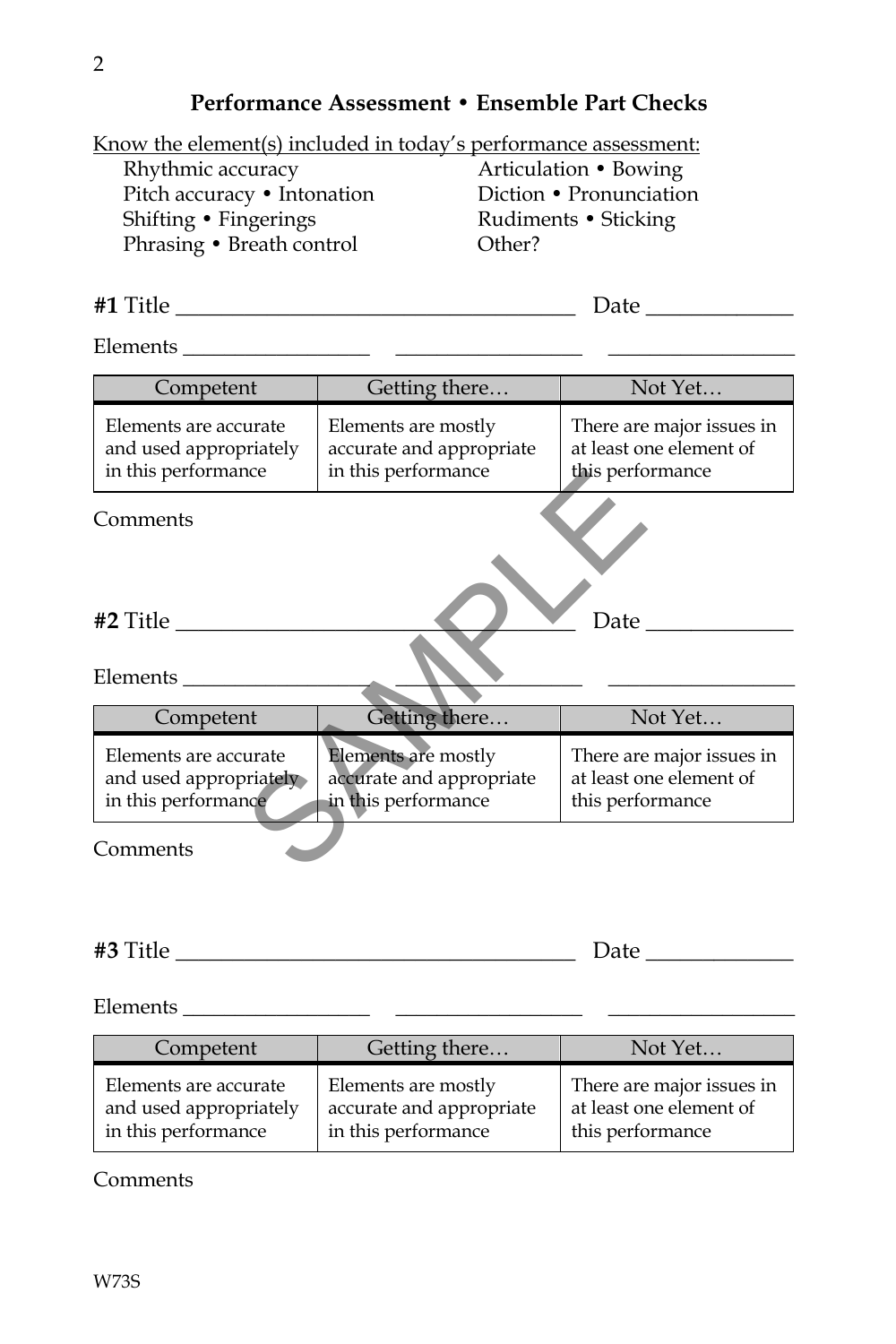#### **Performance Assessment • Ensemble Part Checks**

Know the element(s) included in today's performance assessment:

Rhythmic accuracy Pitch accuracy • Intonation Shifting • Fingerings Phrasing • Breath control

Articulation • Bowing Diction • Pronunciation Rudiments • Sticking Other?

**#1** Title \_\_\_\_\_\_\_\_\_\_\_\_\_\_\_\_\_\_\_\_\_\_\_\_\_\_\_\_\_\_\_\_\_\_\_ Date \_\_\_\_\_\_\_\_\_\_\_\_\_

Elements \_\_\_\_\_\_\_\_\_\_\_\_\_\_\_\_\_\_ \_\_\_\_\_\_\_\_\_\_\_\_\_\_\_\_\_\_ \_\_\_\_\_\_\_\_\_\_\_\_\_\_\_\_\_\_

| Competent                                                              | Not Yet<br>Getting there                                               |                                                                          |  |
|------------------------------------------------------------------------|------------------------------------------------------------------------|--------------------------------------------------------------------------|--|
| Elements are accurate<br>and used appropriately<br>in this performance | Elements are mostly<br>accurate and appropriate<br>in this performance | There are major issues in<br>at least one element of<br>this performance |  |
| Comments                                                               |                                                                        |                                                                          |  |
| <b>#2 Title</b>                                                        | Date $\overline{\phantom{a}}$                                          |                                                                          |  |
| Elements                                                               |                                                                        |                                                                          |  |
| Competent                                                              | Getting there                                                          | Not Yet                                                                  |  |
| Elements are accurate<br>and used appropriately<br>in this performance | Elements are mostly<br>accurate and appropriate<br>in this performance | There are major issues in<br>at least one element of<br>this performance |  |
| Comments                                                               |                                                                        |                                                                          |  |

| #3<br>лт <sup>.</sup> н1<br>1111 | . . |
|----------------------------------|-----|
|                                  |     |

Elements \_\_\_\_\_\_\_\_\_\_\_\_\_\_\_\_\_\_ \_\_\_\_\_\_\_\_\_\_\_\_\_\_\_\_\_\_ \_\_\_\_\_\_\_\_\_\_\_\_\_\_\_\_\_\_

| Competent              | Getting there            | Not Yet                   |
|------------------------|--------------------------|---------------------------|
| Elements are accurate  | Elements are mostly      | There are major issues in |
| and used appropriately | accurate and appropriate | at least one element of   |
| in this performance    | in this performance      | this performance          |

**Comments**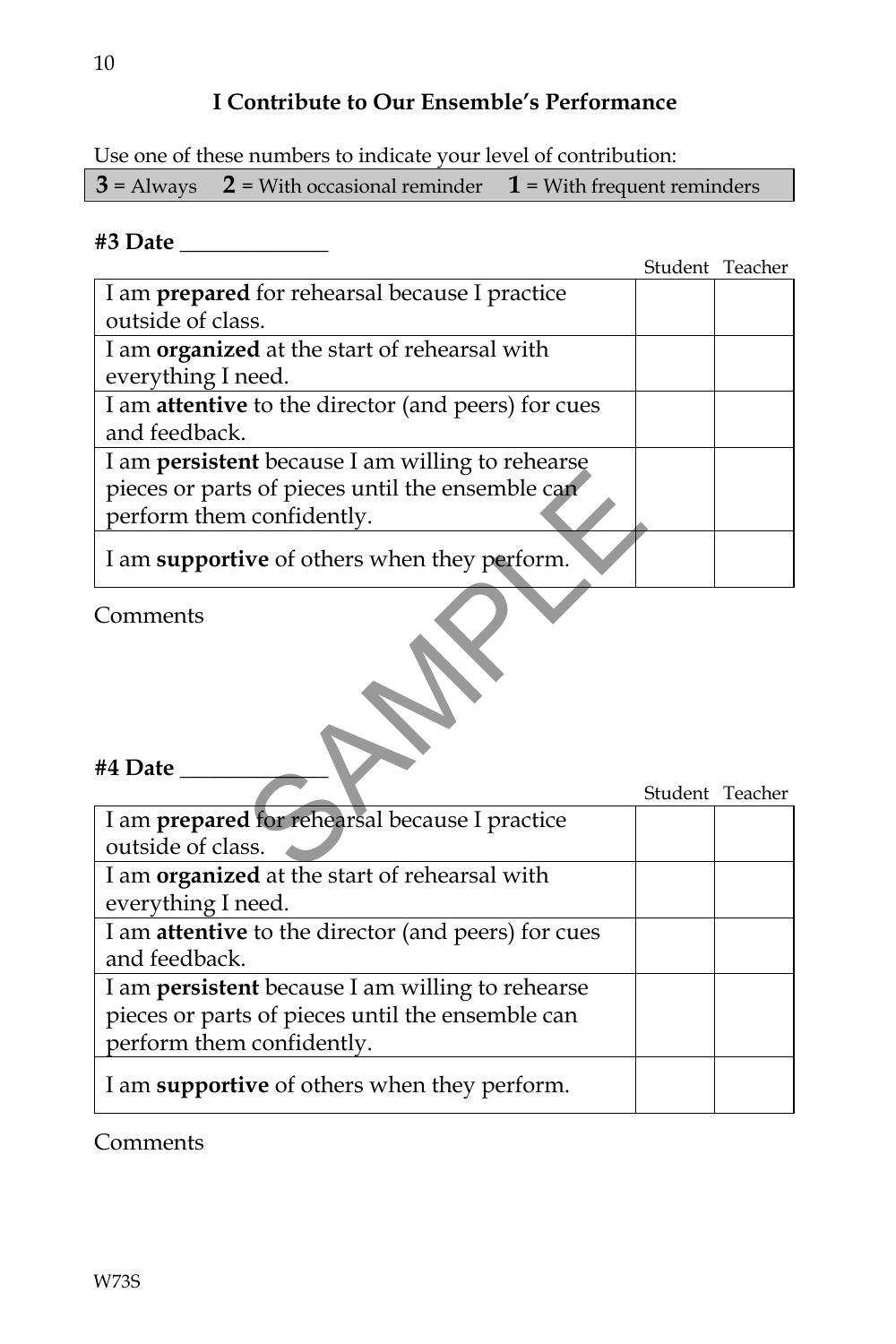# **I Contribute to Our Ensemble's Performance**

Use one of these numbers to indicate your level of contribution:

|  | $3 =$ Always $2 =$ With occasional reminder $1 =$ With frequent reminders |  |
|--|---------------------------------------------------------------------------|--|
|--|---------------------------------------------------------------------------|--|

## **#3 Date** \_\_\_\_\_\_\_\_\_\_\_\_\_

|                                                            | Student Teacher |
|------------------------------------------------------------|-----------------|
| I am <b>prepared</b> for rehearsal because I practice      |                 |
| outside of class.                                          |                 |
| I am organized at the start of rehearsal with              |                 |
| everything I need.                                         |                 |
| I am <b>attentive</b> to the director (and peers) for cues |                 |
| and feedback.                                              |                 |
| I am <b>persistent</b> because I am willing to rehearse    |                 |
| pieces or parts of pieces until the ensemble can           |                 |
| perform them confidently.                                  |                 |
| I am supportive of others when they perform.               |                 |
| Comments                                                   |                 |
|                                                            |                 |
|                                                            |                 |
| #4 Date                                                    |                 |
|                                                            | Student Teacher |
| I am prepared for rehearsal because I practice             |                 |
| outside of class.                                          |                 |
| I am overanized at the start of representation             |                 |

### **#4 Date** \_\_\_\_\_\_\_\_\_\_\_\_\_

|                                                         | Student Teacher |  |
|---------------------------------------------------------|-----------------|--|
| I am prepared for rehearsal because I practice          |                 |  |
| outside of class.                                       |                 |  |
| I am organized at the start of rehearsal with           |                 |  |
| everything I need.                                      |                 |  |
| I am attentive to the director (and peers) for cues     |                 |  |
| and feedback.                                           |                 |  |
| I am <b>persistent</b> because I am willing to rehearse |                 |  |
| pieces or parts of pieces until the ensemble can        |                 |  |
| perform them confidently.                               |                 |  |
| I am supportive of others when they perform.            |                 |  |

Comments